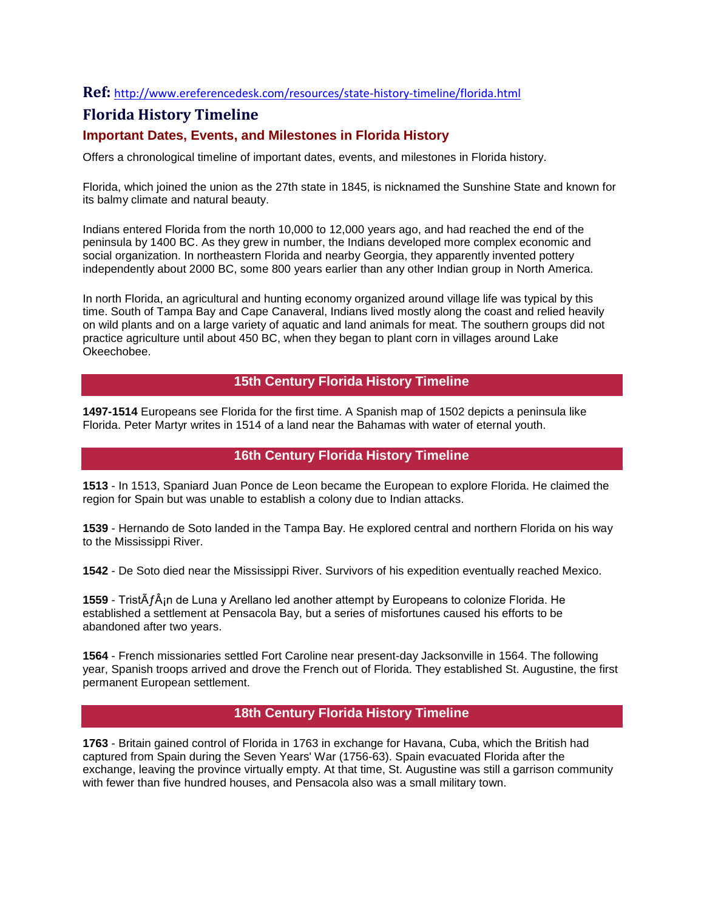## **Ref:** <http://www.ereferencedesk.com/resources/state-history-timeline/florida.html>

# **Florida History Timeline**

## **Important Dates, Events, and Milestones in Florida History**

Offers a chronological timeline of important dates, events, and milestones in Florida history.

Florida, which joined the union as the 27th state in 1845, is nicknamed the Sunshine State and known for its balmy climate and natural beauty.

Indians entered Florida from the north 10,000 to 12,000 years ago, and had reached the end of the peninsula by 1400 BC. As they grew in number, the Indians developed more complex economic and social organization. In northeastern Florida and nearby Georgia, they apparently invented pottery independently about 2000 BC, some 800 years earlier than any other Indian group in North America.

In north Florida, an agricultural and hunting economy organized around village life was typical by this time. South of Tampa Bay and Cape Canaveral, Indians lived mostly along the coast and relied heavily on wild plants and on a large variety of aquatic and land animals for meat. The southern groups did not practice agriculture until about 450 BC, when they began to plant corn in villages around Lake Okeechobee.

# **15th Century Florida History Timeline**

**1497-1514** Europeans see Florida for the first time. A Spanish map of 1502 depicts a peninsula like Florida. Peter Martyr writes in 1514 of a land near the Bahamas with water of eternal youth.

## **16th Century Florida History Timeline**

**1513** - In 1513, Spaniard Juan Ponce de Leon became the European to explore Florida. He claimed the region for Spain but was unable to establish a colony due to Indian attacks.

**1539** - Hernando de Soto landed in the Tampa Bay. He explored central and northern Florida on his way to the Mississippi River.

**1542** - De Soto died near the Mississippi River. Survivors of his expedition eventually reached Mexico.

**1559** - TristÃ $f \hat{A}$ <sub>i</sub>n de Luna y Arellano led another attempt by Europeans to colonize Florida. He established a settlement at Pensacola Bay, but a series of misfortunes caused his efforts to be abandoned after two years.

**1564** - French missionaries settled Fort Caroline near present-day Jacksonville in 1564. The following year, Spanish troops arrived and drove the French out of Florida. They established St. Augustine, the first permanent European settlement.

## **18th Century Florida History Timeline**

**1763** - Britain gained control of Florida in 1763 in exchange for Havana, Cuba, which the British had captured from Spain during the Seven Years' War (1756-63). Spain evacuated Florida after the exchange, leaving the province virtually empty. At that time, St. Augustine was still a garrison community with fewer than five hundred houses, and Pensacola also was a small military town.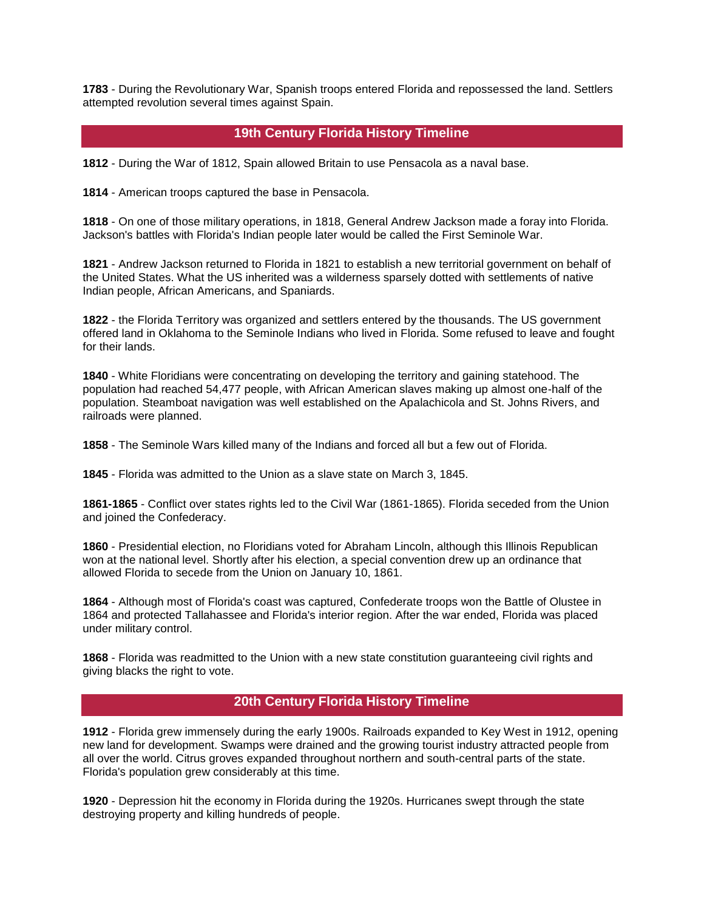**1783** - During the Revolutionary War, Spanish troops entered Florida and repossessed the land. Settlers attempted revolution several times against Spain.

## **19th Century Florida History Timeline**

**1812** - During the War of 1812, Spain allowed Britain to use Pensacola as a naval base.

**1814** - American troops captured the base in Pensacola.

**1818** - On one of those military operations, in 1818, General Andrew Jackson made a foray into Florida. Jackson's battles with Florida's Indian people later would be called the First Seminole War.

**1821** - Andrew Jackson returned to Florida in 1821 to establish a new territorial government on behalf of the United States. What the US inherited was a wilderness sparsely dotted with settlements of native Indian people, African Americans, and Spaniards.

**1822** - the Florida Territory was organized and settlers entered by the thousands. The US government offered land in Oklahoma to the Seminole Indians who lived in Florida. Some refused to leave and fought for their lands.

**1840** - White Floridians were concentrating on developing the territory and gaining statehood. The population had reached 54,477 people, with African American slaves making up almost one-half of the population. Steamboat navigation was well established on the Apalachicola and St. Johns Rivers, and railroads were planned.

**1858** - The Seminole Wars killed many of the Indians and forced all but a few out of Florida.

**1845** - Florida was admitted to the Union as a slave state on March 3, 1845.

**1861-1865** - Conflict over states rights led to the Civil War (1861-1865). Florida seceded from the Union and joined the Confederacy.

**1860** - Presidential election, no Floridians voted for Abraham Lincoln, although this Illinois Republican won at the national level. Shortly after his election, a special convention drew up an ordinance that allowed Florida to secede from the Union on January 10, 1861.

**1864** - Although most of Florida's coast was captured, Confederate troops won the Battle of Olustee in 1864 and protected Tallahassee and Florida's interior region. After the war ended, Florida was placed under military control.

**1868** - Florida was readmitted to the Union with a new state constitution guaranteeing civil rights and giving blacks the right to vote.

## **20th Century Florida History Timeline**

**1912** - Florida grew immensely during the early 1900s. Railroads expanded to Key West in 1912, opening new land for development. Swamps were drained and the growing tourist industry attracted people from all over the world. Citrus groves expanded throughout northern and south-central parts of the state. Florida's population grew considerably at this time.

**1920** - Depression hit the economy in Florida during the 1920s. Hurricanes swept through the state destroying property and killing hundreds of people.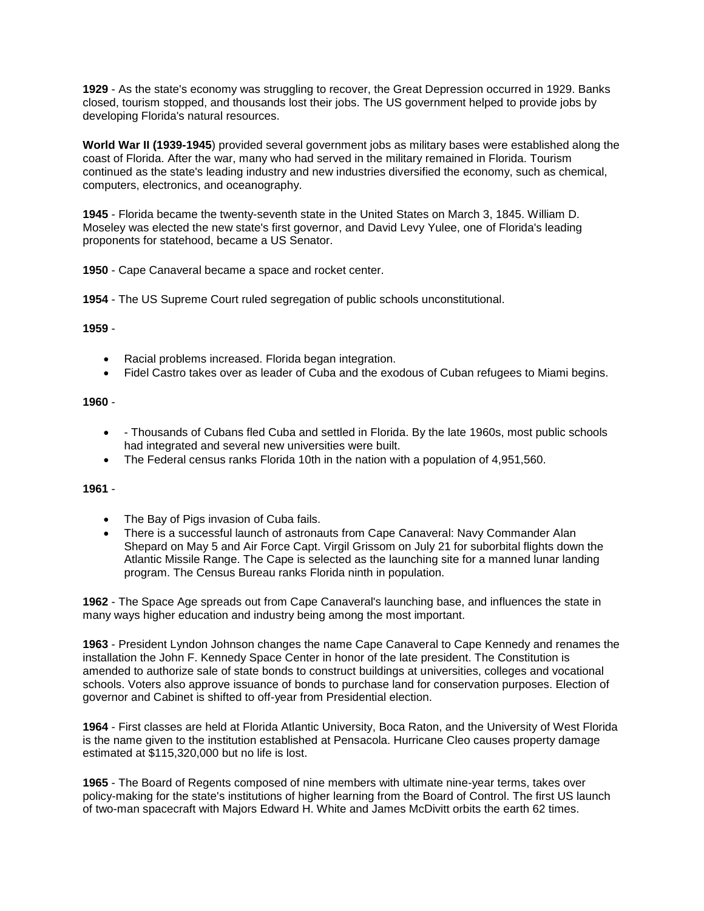**1929** - As the state's economy was struggling to recover, the Great Depression occurred in 1929. Banks closed, tourism stopped, and thousands lost their jobs. The US government helped to provide jobs by developing Florida's natural resources.

**World War II (1939-1945**) provided several government jobs as military bases were established along the coast of Florida. After the war, many who had served in the military remained in Florida. Tourism continued as the state's leading industry and new industries diversified the economy, such as chemical, computers, electronics, and oceanography.

**1945** - Florida became the twenty-seventh state in the United States on March 3, 1845. William D. Moseley was elected the new state's first governor, and David Levy Yulee, one of Florida's leading proponents for statehood, became a US Senator.

**1950** - Cape Canaveral became a space and rocket center.

**1954** - The US Supreme Court ruled segregation of public schools unconstitutional.

### **1959** -

- Racial problems increased. Florida began integration.
- Fidel Castro takes over as leader of Cuba and the exodous of Cuban refugees to Miami begins.

### **1960** -

- Thousands of Cubans fled Cuba and settled in Florida. By the late 1960s, most public schools had integrated and several new universities were built.
- The Federal census ranks Florida 10th in the nation with a population of 4,951,560.

#### **1961** -

- The Bay of Pigs invasion of Cuba fails.
- There is a successful launch of astronauts from Cape Canaveral: Navy Commander Alan Shepard on May 5 and Air Force Capt. Virgil Grissom on July 21 for suborbital flights down the Atlantic Missile Range. The Cape is selected as the launching site for a manned lunar landing program. The Census Bureau ranks Florida ninth in population.

**1962** - The Space Age spreads out from Cape Canaveral's launching base, and influences the state in many ways higher education and industry being among the most important.

**1963** - President Lyndon Johnson changes the name Cape Canaveral to Cape Kennedy and renames the installation the John F. Kennedy Space Center in honor of the late president. The Constitution is amended to authorize sale of state bonds to construct buildings at universities, colleges and vocational schools. Voters also approve issuance of bonds to purchase land for conservation purposes. Election of governor and Cabinet is shifted to off-year from Presidential election.

**1964** - First classes are held at Florida Atlantic University, Boca Raton, and the University of West Florida is the name given to the institution established at Pensacola. Hurricane Cleo causes property damage estimated at \$115,320,000 but no life is lost.

**1965** - The Board of Regents composed of nine members with ultimate nine-year terms, takes over policy-making for the state's institutions of higher learning from the Board of Control. The first US launch of two-man spacecraft with Majors Edward H. White and James McDivitt orbits the earth 62 times.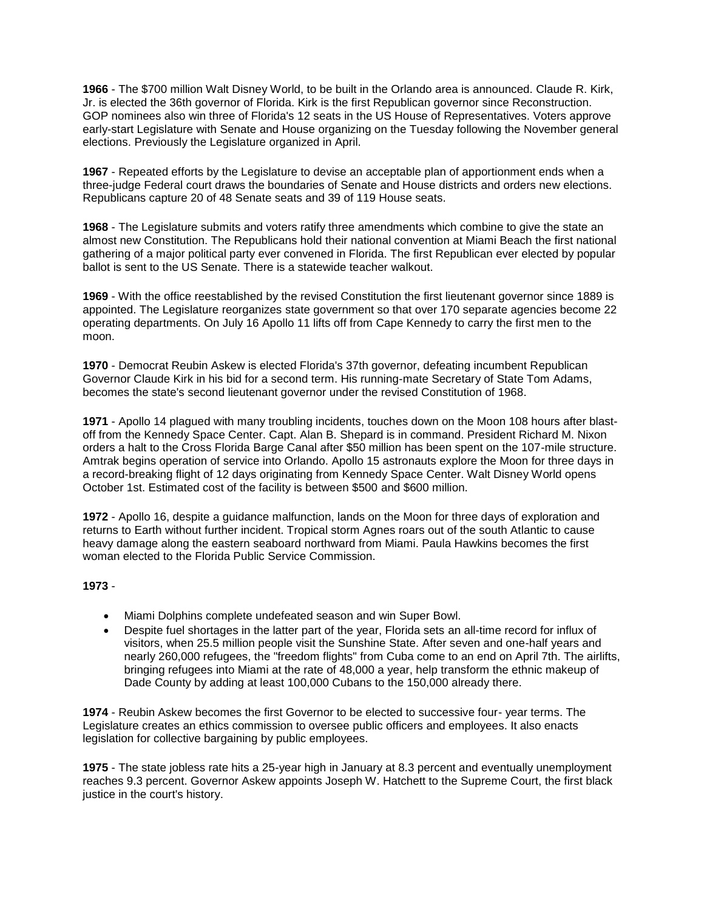**1966** - The \$700 million Walt Disney World, to be built in the Orlando area is announced. Claude R. Kirk, Jr. is elected the 36th governor of Florida. Kirk is the first Republican governor since Reconstruction. GOP nominees also win three of Florida's 12 seats in the US House of Representatives. Voters approve early-start Legislature with Senate and House organizing on the Tuesday following the November general elections. Previously the Legislature organized in April.

**1967** - Repeated efforts by the Legislature to devise an acceptable plan of apportionment ends when a three-judge Federal court draws the boundaries of Senate and House districts and orders new elections. Republicans capture 20 of 48 Senate seats and 39 of 119 House seats.

**1968** - The Legislature submits and voters ratify three amendments which combine to give the state an almost new Constitution. The Republicans hold their national convention at Miami Beach the first national gathering of a major political party ever convened in Florida. The first Republican ever elected by popular ballot is sent to the US Senate. There is a statewide teacher walkout.

**1969** - With the office reestablished by the revised Constitution the first lieutenant governor since 1889 is appointed. The Legislature reorganizes state government so that over 170 separate agencies become 22 operating departments. On July 16 Apollo 11 lifts off from Cape Kennedy to carry the first men to the moon.

**1970** - Democrat Reubin Askew is elected Florida's 37th governor, defeating incumbent Republican Governor Claude Kirk in his bid for a second term. His running-mate Secretary of State Tom Adams, becomes the state's second lieutenant governor under the revised Constitution of 1968.

**1971** - Apollo 14 plagued with many troubling incidents, touches down on the Moon 108 hours after blastoff from the Kennedy Space Center. Capt. Alan B. Shepard is in command. President Richard M. Nixon orders a halt to the Cross Florida Barge Canal after \$50 million has been spent on the 107-mile structure. Amtrak begins operation of service into Orlando. Apollo 15 astronauts explore the Moon for three days in a record-breaking flight of 12 days originating from Kennedy Space Center. Walt Disney World opens October 1st. Estimated cost of the facility is between \$500 and \$600 million.

**1972** - Apollo 16, despite a guidance malfunction, lands on the Moon for three days of exploration and returns to Earth without further incident. Tropical storm Agnes roars out of the south Atlantic to cause heavy damage along the eastern seaboard northward from Miami. Paula Hawkins becomes the first woman elected to the Florida Public Service Commission.

#### **1973** -

- Miami Dolphins complete undefeated season and win Super Bowl.
- Despite fuel shortages in the latter part of the year, Florida sets an all-time record for influx of visitors, when 25.5 million people visit the Sunshine State. After seven and one-half years and nearly 260,000 refugees, the "freedom flights" from Cuba come to an end on April 7th. The airlifts, bringing refugees into Miami at the rate of 48,000 a year, help transform the ethnic makeup of Dade County by adding at least 100,000 Cubans to the 150,000 already there.

**1974** - Reubin Askew becomes the first Governor to be elected to successive four- year terms. The Legislature creates an ethics commission to oversee public officers and employees. It also enacts legislation for collective bargaining by public employees.

**1975** - The state jobless rate hits a 25-year high in January at 8.3 percent and eventually unemployment reaches 9.3 percent. Governor Askew appoints Joseph W. Hatchett to the Supreme Court, the first black justice in the court's history.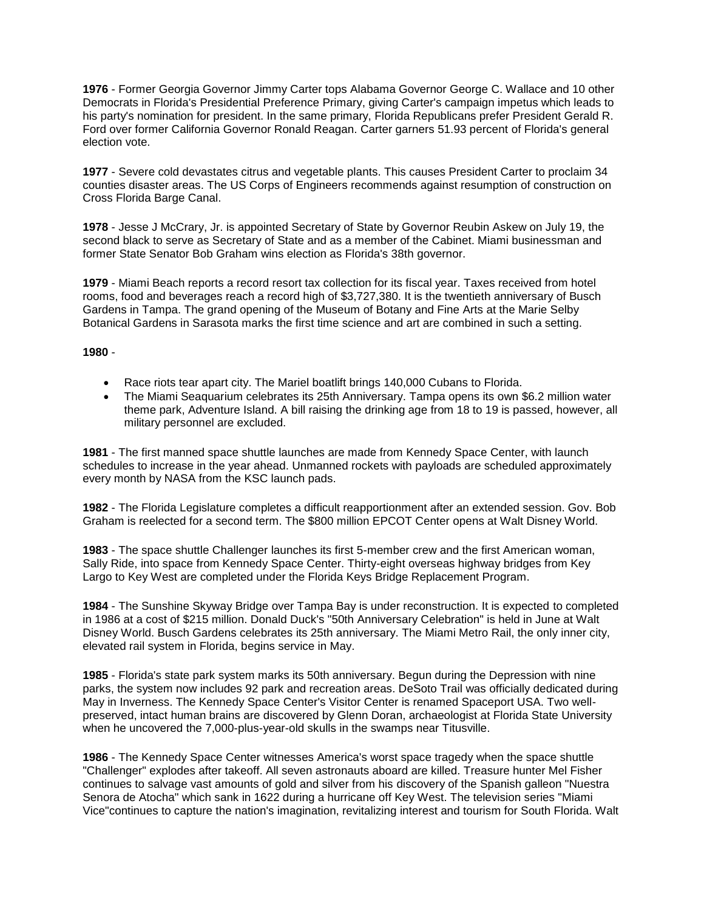**1976** - Former Georgia Governor Jimmy Carter tops Alabama Governor George C. Wallace and 10 other Democrats in Florida's Presidential Preference Primary, giving Carter's campaign impetus which leads to his party's nomination for president. In the same primary, Florida Republicans prefer President Gerald R. Ford over former California Governor Ronald Reagan. Carter garners 51.93 percent of Florida's general election vote.

**1977** - Severe cold devastates citrus and vegetable plants. This causes President Carter to proclaim 34 counties disaster areas. The US Corps of Engineers recommends against resumption of construction on Cross Florida Barge Canal.

**1978** - Jesse J McCrary, Jr. is appointed Secretary of State by Governor Reubin Askew on July 19, the second black to serve as Secretary of State and as a member of the Cabinet. Miami businessman and former State Senator Bob Graham wins election as Florida's 38th governor.

**1979** - Miami Beach reports a record resort tax collection for its fiscal year. Taxes received from hotel rooms, food and beverages reach a record high of \$3,727,380. It is the twentieth anniversary of Busch Gardens in Tampa. The grand opening of the Museum of Botany and Fine Arts at the Marie Selby Botanical Gardens in Sarasota marks the first time science and art are combined in such a setting.

**1980** -

- Race riots tear apart city. The Mariel boatlift brings 140,000 Cubans to Florida.
- The Miami Seaquarium celebrates its 25th Anniversary. Tampa opens its own \$6.2 million water theme park, Adventure Island. A bill raising the drinking age from 18 to 19 is passed, however, all military personnel are excluded.

**1981** - The first manned space shuttle launches are made from Kennedy Space Center, with launch schedules to increase in the year ahead. Unmanned rockets with payloads are scheduled approximately every month by NASA from the KSC launch pads.

**1982** - The Florida Legislature completes a difficult reapportionment after an extended session. Gov. Bob Graham is reelected for a second term. The \$800 million EPCOT Center opens at Walt Disney World.

**1983** - The space shuttle Challenger launches its first 5-member crew and the first American woman, Sally Ride, into space from Kennedy Space Center. Thirty-eight overseas highway bridges from Key Largo to Key West are completed under the Florida Keys Bridge Replacement Program.

**1984** - The Sunshine Skyway Bridge over Tampa Bay is under reconstruction. It is expected to completed in 1986 at a cost of \$215 million. Donald Duck's "50th Anniversary Celebration" is held in June at Walt Disney World. Busch Gardens celebrates its 25th anniversary. The Miami Metro Rail, the only inner city, elevated rail system in Florida, begins service in May.

**1985** - Florida's state park system marks its 50th anniversary. Begun during the Depression with nine parks, the system now includes 92 park and recreation areas. DeSoto Trail was officially dedicated during May in Inverness. The Kennedy Space Center's Visitor Center is renamed Spaceport USA. Two wellpreserved, intact human brains are discovered by Glenn Doran, archaeologist at Florida State University when he uncovered the 7,000-plus-year-old skulls in the swamps near Titusville.

**1986** - The Kennedy Space Center witnesses America's worst space tragedy when the space shuttle "Challenger" explodes after takeoff. All seven astronauts aboard are killed. Treasure hunter Mel Fisher continues to salvage vast amounts of gold and silver from his discovery of the Spanish galleon "Nuestra Senora de Atocha" which sank in 1622 during a hurricane off Key West. The television series "Miami Vice"continues to capture the nation's imagination, revitalizing interest and tourism for South Florida. Walt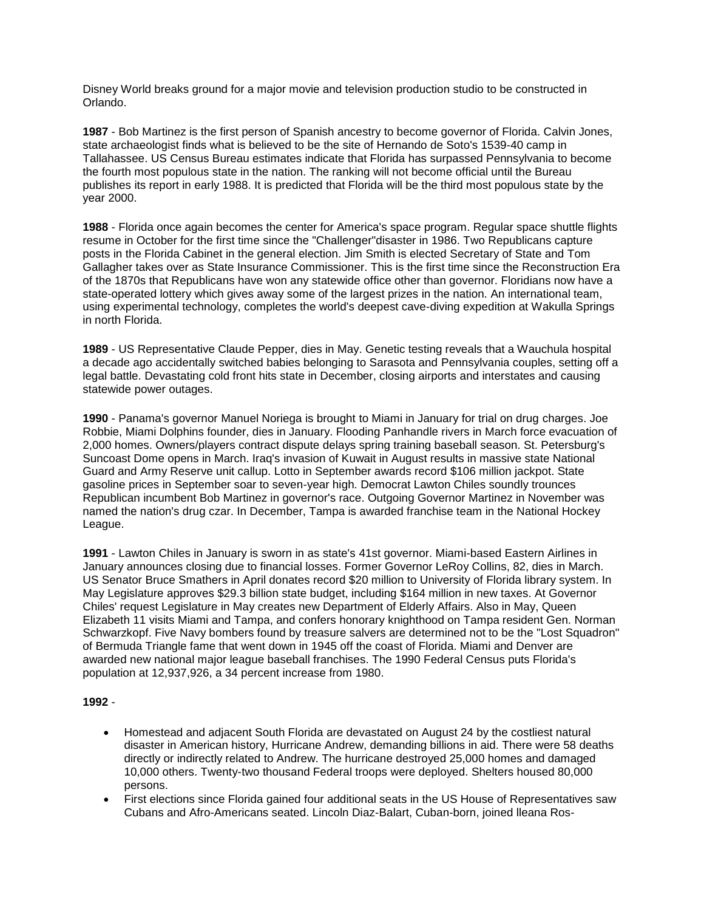Disney World breaks ground for a major movie and television production studio to be constructed in Orlando.

**1987** - Bob Martinez is the first person of Spanish ancestry to become governor of Florida. Calvin Jones, state archaeologist finds what is believed to be the site of Hernando de Soto's 1539-40 camp in Tallahassee. US Census Bureau estimates indicate that Florida has surpassed Pennsylvania to become the fourth most populous state in the nation. The ranking will not become official until the Bureau publishes its report in early 1988. It is predicted that Florida will be the third most populous state by the year 2000.

**1988** - Florida once again becomes the center for America's space program. Regular space shuttle flights resume in October for the first time since the "Challenger"disaster in 1986. Two Republicans capture posts in the Florida Cabinet in the general election. Jim Smith is elected Secretary of State and Tom Gallagher takes over as State Insurance Commissioner. This is the first time since the Reconstruction Era of the 1870s that Republicans have won any statewide office other than governor. Floridians now have a state-operated lottery which gives away some of the largest prizes in the nation. An international team, using experimental technology, completes the world's deepest cave-diving expedition at Wakulla Springs in north Florida.

**1989** - US Representative Claude Pepper, dies in May. Genetic testing reveals that a Wauchula hospital a decade ago accidentally switched babies belonging to Sarasota and Pennsylvania couples, setting off a legal battle. Devastating cold front hits state in December, closing airports and interstates and causing statewide power outages.

**1990** - Panama's governor Manuel Noriega is brought to Miami in January for trial on drug charges. Joe Robbie, Miami Dolphins founder, dies in January. Flooding Panhandle rivers in March force evacuation of 2,000 homes. Owners/players contract dispute delays spring training baseball season. St. Petersburg's Suncoast Dome opens in March. Iraq's invasion of Kuwait in August results in massive state National Guard and Army Reserve unit callup. Lotto in September awards record \$106 million jackpot. State gasoline prices in September soar to seven-year high. Democrat Lawton Chiles soundly trounces Republican incumbent Bob Martinez in governor's race. Outgoing Governor Martinez in November was named the nation's drug czar. In December, Tampa is awarded franchise team in the National Hockey League.

**1991** - Lawton Chiles in January is sworn in as state's 41st governor. Miami-based Eastern Airlines in January announces closing due to financial losses. Former Governor LeRoy Collins, 82, dies in March. US Senator Bruce Smathers in April donates record \$20 million to University of Florida library system. In May Legislature approves \$29.3 billion state budget, including \$164 million in new taxes. At Governor Chiles' request Legislature in May creates new Department of Elderly Affairs. Also in May, Queen Elizabeth 11 visits Miami and Tampa, and confers honorary knighthood on Tampa resident Gen. Norman Schwarzkopf. Five Navy bombers found by treasure salvers are determined not to be the "Lost Squadron" of Bermuda Triangle fame that went down in 1945 off the coast of Florida. Miami and Denver are awarded new national major league baseball franchises. The 1990 Federal Census puts Florida's population at 12,937,926, a 34 percent increase from 1980.

## **1992** -

- Homestead and adjacent South Florida are devastated on August 24 by the costliest natural disaster in American history, Hurricane Andrew, demanding billions in aid. There were 58 deaths directly or indirectly related to Andrew. The hurricane destroyed 25,000 homes and damaged 10,000 others. Twenty-two thousand Federal troops were deployed. Shelters housed 80,000 persons.
- First elections since Florida gained four additional seats in the US House of Representatives saw Cubans and Afro-Americans seated. Lincoln Diaz-Balart, Cuban-born, joined lleana Ros-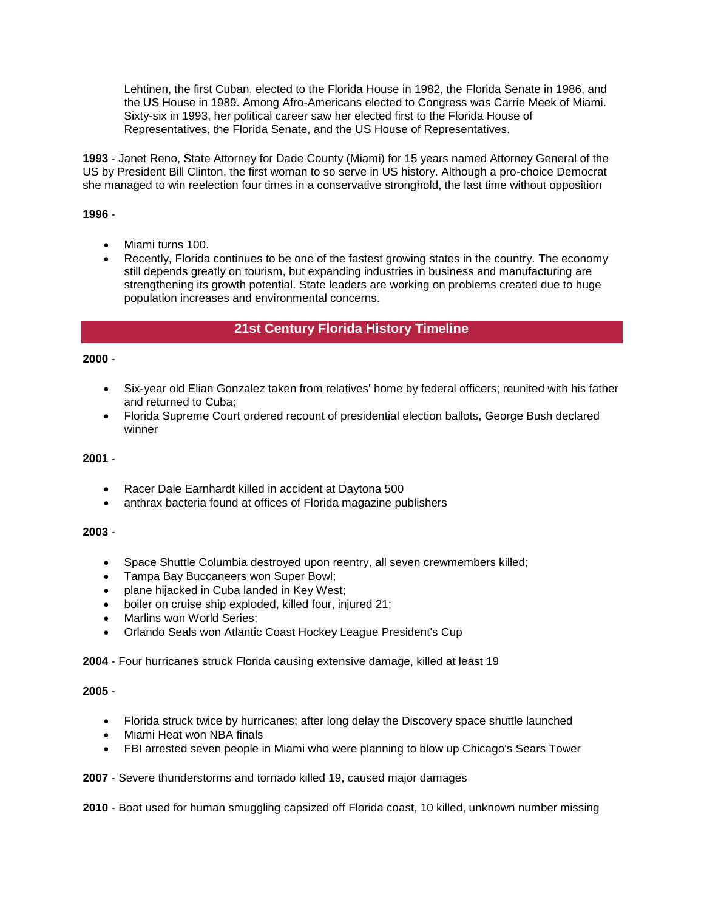Lehtinen, the first Cuban, elected to the Florida House in 1982, the Florida Senate in 1986, and the US House in 1989. Among Afro-Americans elected to Congress was Carrie Meek of Miami. Sixty-six in 1993, her political career saw her elected first to the Florida House of Representatives, the Florida Senate, and the US House of Representatives.

**1993** - Janet Reno, State Attorney for Dade County (Miami) for 15 years named Attorney General of the US by President Bill Clinton, the first woman to so serve in US history. Although a pro-choice Democrat she managed to win reelection four times in a conservative stronghold, the last time without opposition

### **1996** -

- Miami turns 100.
- Recently, Florida continues to be one of the fastest growing states in the country. The economy still depends greatly on tourism, but expanding industries in business and manufacturing are strengthening its growth potential. State leaders are working on problems created due to huge population increases and environmental concerns.

# **21st Century Florida History Timeline**

#### **2000** -

- Six-year old Elian Gonzalez taken from relatives' home by federal officers; reunited with his father and returned to Cuba;
- Florida Supreme Court ordered recount of presidential election ballots, George Bush declared winner

#### **2001** -

- Racer Dale Earnhardt killed in accident at Daytona 500
- anthrax bacteria found at offices of Florida magazine publishers

#### **2003** -

- Space Shuttle Columbia destroyed upon reentry, all seven crewmembers killed;
- Tampa Bay Buccaneers won Super Bowl;
- plane hijacked in Cuba landed in Key West:
- boiler on cruise ship exploded, killed four, injured 21;
- Marlins won World Series;
- Orlando Seals won Atlantic Coast Hockey League President's Cup

**2004** - Four hurricanes struck Florida causing extensive damage, killed at least 19

### **2005** -

- Florida struck twice by hurricanes; after long delay the Discovery space shuttle launched
- Miami Heat won NBA finals
- FBI arrested seven people in Miami who were planning to blow up Chicago's Sears Tower
- **2007** Severe thunderstorms and tornado killed 19, caused major damages

**2010** - Boat used for human smuggling capsized off Florida coast, 10 killed, unknown number missing